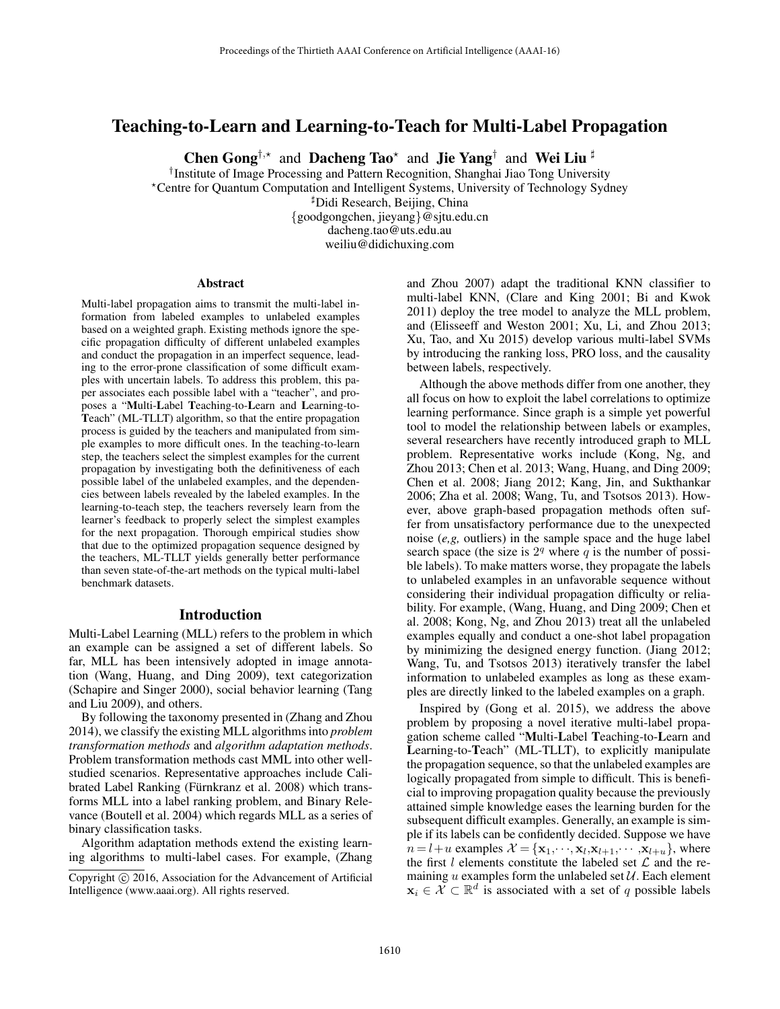# Teaching-to-Learn and Learning-to-Teach for Multi-Label Propagation

Chen Gong<sup>†,\*</sup> and Dacheng Tao<sup>\*</sup> and Jie Yang<sup>†</sup> and Wei Liu<sup>#</sup>

†Institute of Image Processing and Pattern Recognition, Shanghai Jiao Tong University -

Centre for Quantum Computation and Intelligent Systems, University of Technology Sydney

Didi Research, Beijing, China

{goodgongchen, jieyang}@sjtu.edu.cn dacheng.tao@uts.edu.au

weiliu@didichuxing.com

#### **Abstract**

Multi-label propagation aims to transmit the multi-label information from labeled examples to unlabeled examples based on a weighted graph. Existing methods ignore the specific propagation difficulty of different unlabeled examples and conduct the propagation in an imperfect sequence, leading to the error-prone classification of some difficult examples with uncertain labels. To address this problem, this paper associates each possible label with a "teacher", and proposes a "Multi-Label Teaching-to-Learn and Learning-to-Teach" (ML-TLLT) algorithm, so that the entire propagation process is guided by the teachers and manipulated from simple examples to more difficult ones. In the teaching-to-learn step, the teachers select the simplest examples for the current propagation by investigating both the definitiveness of each possible label of the unlabeled examples, and the dependencies between labels revealed by the labeled examples. In the learning-to-teach step, the teachers reversely learn from the learner's feedback to properly select the simplest examples for the next propagation. Thorough empirical studies show that due to the optimized propagation sequence designed by the teachers, ML-TLLT yields generally better performance than seven state-of-the-art methods on the typical multi-label benchmark datasets.

## Introduction

Multi-Label Learning (MLL) refers to the problem in which an example can be assigned a set of different labels. So far, MLL has been intensively adopted in image annotation (Wang, Huang, and Ding 2009), text categorization (Schapire and Singer 2000), social behavior learning (Tang and Liu 2009), and others.

By following the taxonomy presented in (Zhang and Zhou 2014), we classify the existing MLL algorithms into *problem transformation methods* and *algorithm adaptation methods*. Problem transformation methods cast MML into other wellstudied scenarios. Representative approaches include Calibrated Label Ranking (Fürnkranz et al. 2008) which transforms MLL into a label ranking problem, and Binary Relevance (Boutell et al. 2004) which regards MLL as a series of binary classification tasks.

Algorithm adaptation methods extend the existing learning algorithms to multi-label cases. For example, (Zhang and Zhou 2007) adapt the traditional KNN classifier to multi-label KNN, (Clare and King 2001; Bi and Kwok 2011) deploy the tree model to analyze the MLL problem, and (Elisseeff and Weston 2001; Xu, Li, and Zhou 2013; Xu, Tao, and Xu 2015) develop various multi-label SVMs by introducing the ranking loss, PRO loss, and the causality between labels, respectively.

Although the above methods differ from one another, they all focus on how to exploit the label correlations to optimize learning performance. Since graph is a simple yet powerful tool to model the relationship between labels or examples, several researchers have recently introduced graph to MLL problem. Representative works include (Kong, Ng, and Zhou 2013; Chen et al. 2013; Wang, Huang, and Ding 2009; Chen et al. 2008; Jiang 2012; Kang, Jin, and Sukthankar 2006; Zha et al. 2008; Wang, Tu, and Tsotsos 2013). However, above graph-based propagation methods often suffer from unsatisfactory performance due to the unexpected noise (*e,g,* outliers) in the sample space and the huge label search space (the size is  $2<sup>q</sup>$  where q is the number of possible labels). To make matters worse, they propagate the labels to unlabeled examples in an unfavorable sequence without considering their individual propagation difficulty or reliability. For example, (Wang, Huang, and Ding 2009; Chen et al. 2008; Kong, Ng, and Zhou 2013) treat all the unlabeled examples equally and conduct a one-shot label propagation by minimizing the designed energy function. (Jiang 2012; Wang, Tu, and Tsotsos 2013) iteratively transfer the label information to unlabeled examples as long as these examples are directly linked to the labeled examples on a graph.

Inspired by (Gong et al. 2015), we address the above problem by proposing a novel iterative multi-label propagation scheme called "Multi-Label Teaching-to-Learn and Learning-to-Teach" (ML-TLLT), to explicitly manipulate the propagation sequence, so that the unlabeled examples are logically propagated from simple to difficult. This is beneficial to improving propagation quality because the previously attained simple knowledge eases the learning burden for the subsequent difficult examples. Generally, an example is simple if its labels can be confidently decided. Suppose we have  $n = l + u$  examples  $\mathcal{X} = {\mathbf{x}_1, \dots, \mathbf{x}_l, \mathbf{x}_{l+1}, \dots, \mathbf{x}_{l+u}}$ , where the first  $l$  elements constitute the labeled set  $\mathcal L$  and the remaining  $u$  examples form the unlabeled set  $U$ . Each element  $x_i \in \mathcal{X} \subset \mathbb{R}^d$  is associated with a set of q possible labels

Copyright  $\odot$  2016, Association for the Advancement of Artificial Intelligence (www.aaai.org). All rights reserved.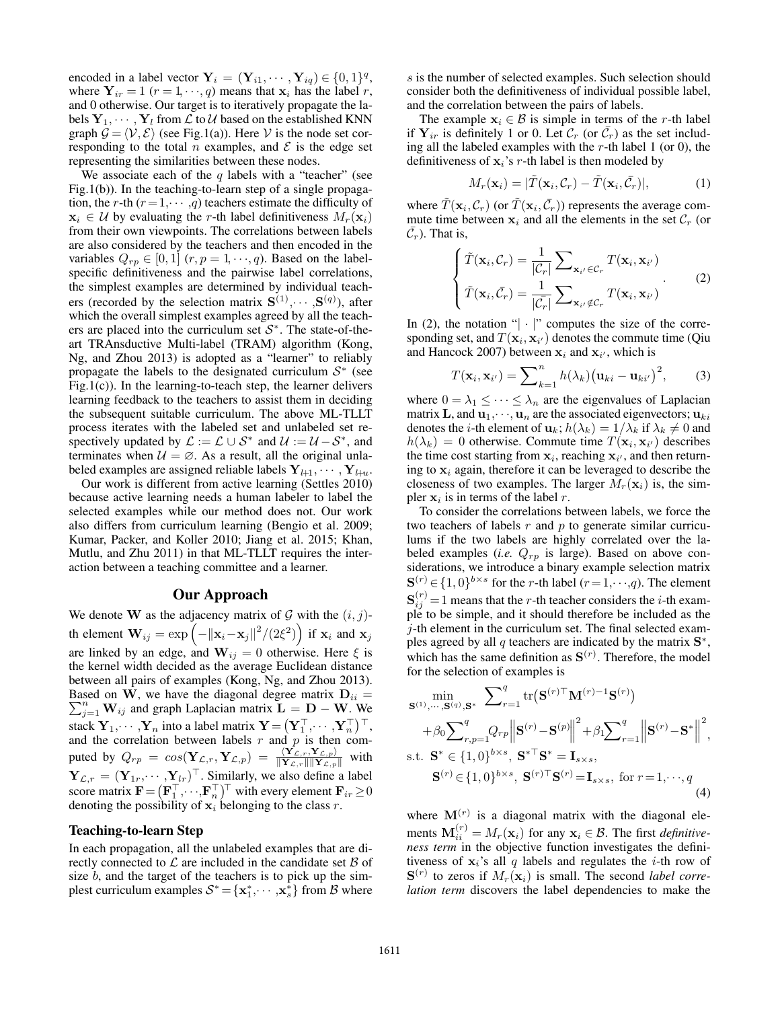encoded in a label vector  $\mathbf{Y}_i = (\mathbf{Y}_{i1}, \cdots, \mathbf{Y}_{iq}) \in \{0, 1\}^q$ , where  $Y_{ir} = 1$  ( $r = 1, \dots, q$ ) means that  $x_i$  has the label r, and 0 otherwise. Our target is to iteratively propagate the labels  $Y_1, \dots, Y_l$  from  $\mathcal L$  to  $\mathcal U$  based on the established KNN graph  $\mathcal{G} = \langle \mathcal{V}, \mathcal{E} \rangle$  (see Fig.1(a)). Here V is the node set corresponding to the total *n* examples, and  $\mathcal E$  is the edge set representing the similarities between these nodes.

We associate each of the  $q$  labels with a "teacher" (see Fig.1(b)). In the teaching-to-learn step of a single propagation, the r-th  $(r = 1, \dots, q)$  teachers estimate the difficulty of  $x_i \in \mathcal{U}$  by evaluating the r-th label definitiveness  $M_r(x_i)$ from their own viewpoints. The correlations between labels are also considered by the teachers and then encoded in the variables  $Q_{rp} \in [0, 1]$   $(r, p = 1, \dots, q)$ . Based on the labelspecific definitiveness and the pairwise label correlations, the simplest examples are determined by individual teachers (recorded by the selection matrix  $S^{(1)}, \cdots, S^{(q)}$ ), after which the overall simplest examples agreed by all the teachers are placed into the curriculum set  $S^*$ . The state-of-theart TRAnsductive Multi-label (TRAM) algorithm (Kong, Ng, and Zhou 2013) is adopted as a "learner" to reliably propagate the labels to the designated curriculum  $S^*$  (see Fig.1(c)). In the learning-to-teach step, the learner delivers learning feedback to the teachers to assist them in deciding the subsequent suitable curriculum. The above ML-TLLT process iterates with the labeled set and unlabeled set respectively updated by  $\mathcal{L} := \mathcal{L} \cup \mathcal{S}^*$  and  $\mathcal{U} := \mathcal{U} - \mathcal{S}^*$ , and terminates when  $U = \emptyset$ . As a result, all the original unlabeled examples are assigned reliable labels  $Y_{l+1}, \cdots, Y_{l+u}$ .

Our work is different from active learning (Settles 2010) because active learning needs a human labeler to label the selected examples while our method does not. Our work also differs from curriculum learning (Bengio et al. 2009; Kumar, Packer, and Koller 2010; Jiang et al. 2015; Khan, Mutlu, and Zhu 2011) in that ML-TLLT requires the interaction between a teaching committee and a learner.

# Our Approach

We denote **W** as the adjacency matrix of  $G$  with the  $(i, j)$ th element  $\mathbf{W}_{ij} = \exp\left(-\|\mathbf{x}_i - \mathbf{x}_j\|^2 / (2\xi^2)\right)$  if  $\mathbf{x}_i$  and  $\mathbf{x}_j$ are linked by an edge, and  $W_{ij} = 0$  otherwise. Here  $\xi$  is the kernel width decided as the average Euclidean distance between all pairs of examples (Kong, Ng, and Zhou 2013). Based on **W**, we have the diagonal degree matrix  $D_{ii} = \sum_{i=1}^{n} W_{ij}$  and graph Laplacian matrix  $L = D - W$ . We  $\sum_{j=1}^{n} \mathbf{W}_{ij}$  and graph Laplacian matrix  $\mathbf{L} = \mathbf{D} - \mathbf{W}$ . We stack  $\mathbf{Y}_1, \dots, \mathbf{Y}_n$  into a label matrix  $\mathbf{Y} = (\mathbf{Y}_1^\top, \dots, \mathbf{Y}_n^\top)^\top$ , and the correlation between labels  $r$  and  $p$  is then computed by  $Q_{rp} = cos(\mathbf{Y}_{\mathcal{L},r}, \mathbf{Y}_{\mathcal{L},p}) = \frac{\langle \mathbf{Y}_{\mathcal{L},r}, \mathbf{Y}_{\mathcal{L},p} \rangle}{\|\mathbf{Y}_{\mathcal{L},r}\| \|\mathbf{Y}_{\mathcal{L},p}\|}$  with  $\mathbf{Y}_{\mathcal{L},r} = (\mathbf{Y}_{1r}, \cdots, \mathbf{Y}_{lr})^{\top}$ . Similarly, we also define a label score matrix  $\mathbf{F} = (\mathbf{F}_1^\top, \cdots, \mathbf{F}_n^\top)^\top$  with every element  $\mathbf{F}_{ir} \ge 0$ denoting the possibility of  $x_i$  belonging to the class  $r$ .

## Teaching-to-learn Step

In each propagation, all the unlabeled examples that are directly connected to  $\mathcal L$  are included in the candidate set  $\mathcal B$  of size  $b$ , and the target of the teachers is to pick up the simplest curriculum examples  $S^* = {\mathbf{x}_1^*, \cdots, \mathbf{x}_s^*}$  from B where

s is the number of selected examples. Such selection should consider both the definitiveness of individual possible label, and the correlation between the pairs of labels.

The example  $x_i \in \mathcal{B}$  is simple in terms of the r-th label if  $Y_{ir}$  is definitely 1 or 0. Let  $C_r$  (or  $\bar{C}_r$ ) as the set including all the labeled examples with the  $r$ -th label 1 (or 0), the definitiveness of  $x_i$ 's r-th label is then modeled by

$$
M_r(\mathbf{x}_i) = |\tilde{T}(\mathbf{x}_i, C_r) - \tilde{T}(\mathbf{x}_i, \bar{C}_r)|,
$$
 (1)

where  $\tilde{T}(\mathbf{x}_i, \mathcal{C}_r)$  (or  $\tilde{T}(\mathbf{x}_i, \tilde{\mathcal{C}}_r)$ ) represents the average commute time between  $x_i$  and all the elements in the set  $\mathcal{C}_r$  (or  $\overline{C_r}$ ). That is,

$$
\begin{cases}\n\tilde{T}(\mathbf{x}_i, \mathcal{C}_r) = \frac{1}{|\mathcal{C}_r|} \sum_{\mathbf{x}_{i'} \in \mathcal{C}_r} T(\mathbf{x}_i, \mathbf{x}_{i'}) \\
\tilde{T}(\mathbf{x}_i, \bar{\mathcal{C}}_r) = \frac{1}{|\bar{\mathcal{C}_r}|} \sum_{\mathbf{x}_{i'} \notin \mathcal{C}_r} T(\mathbf{x}_i, \mathbf{x}_{i'})\n\end{cases} (2)
$$

In (2), the notation " $|\cdot|$ " computes the size of the corresponding set, and  $T(\mathbf{x}_i, \mathbf{x}_{i'})$  denotes the commute time (Qiu and Hancock 2007) between  $x_i$  and  $x_{i'}$ , which is

$$
T(\mathbf{x}_i, \mathbf{x}_{i'}) = \sum_{k=1}^n h(\lambda_k) (\mathbf{u}_{ki} - \mathbf{u}_{ki'})^2, \qquad (3)
$$

where  $0 = \lambda_1 \leq \cdots \leq \lambda_n$  are the eigenvalues of Laplacian matrix **L**, and  $\mathbf{u}_1, \dots, \mathbf{u}_n$  are the associated eigenvectors;  $\mathbf{u}_{ki}$ denotes the *i*-th element of  $\mathbf{u}_k$ ;  $h(\lambda_k) = 1/\lambda_k$  if  $\lambda_k \neq 0$  and  $h(\lambda_k) = 0$  otherwise. Commute time  $T(\mathbf{x}_i, \mathbf{x}_{i'})$  describes the time cost starting from  $x_i$ , reaching  $x_{i'}$ , and then returning to  $x_i$  again, therefore it can be leveraged to describe the closeness of two examples. The larger  $M_r(\mathbf{x}_i)$  is, the simpler  $x_i$  is in terms of the label r.

To consider the correlations between labels, we force the two teachers of labels  $r$  and  $p$  to generate similar curriculums if the two labels are highly correlated over the labeled examples (*i.e.*  $Q_{rp}$  is large). Based on above considerations, we introduce a binary example selection matrix  $\mathbf{S}^{(r)} \in \{1,0\}^{b \times s}$  for the *r*-th label (*r* = 1,···,*q*). The element  $\mathbf{S}_{ii}^{(r)} = 1$  means that the *r*-th teacher considers the *i*-th example to be simple, and it should therefore be included as the  $j$ -th element in the curriculum set. The final selected examples agreed by all q teachers are indicated by the matrix **S**∗, which has the same definition as  $S^{(r)}$ . Therefore, the model for the selection of examples is

$$
\min_{\mathbf{S}^{(1)},\dots,\mathbf{S}^{(q)},\mathbf{S}^{*}} \sum_{r=1}^{q} \text{tr}(\mathbf{S}^{(r)\top}\mathbf{M}^{(r)-1}\mathbf{S}^{(r)}) + \beta_0 \sum_{r,p=1}^{q} Q_{rp} \left\| \mathbf{S}^{(r)} - \mathbf{S}^{(p)} \right\|^{2} + \beta_1 \sum_{r=1}^{q} \left\| \mathbf{S}^{(r)} - \mathbf{S}^{*} \right\|^{2},
$$
\ns.t. 
$$
\mathbf{S}^{*} \in \{1,0\}^{b \times s}, \ \mathbf{S}^{* \top} \mathbf{S}^{*} = \mathbf{I}_{s \times s},
$$
\n
$$
\mathbf{S}^{(r)} \in \{1,0\}^{b \times s}, \ \mathbf{S}^{(r) \top} \mathbf{S}^{(r)} = \mathbf{I}_{s \times s}, \text{ for } r = 1, \dots, q
$$
\n(4)

where  $M(r)$  is a diagonal matrix with the diagonal elements  $\mathbf{M}_{ii}^{(r)} = M_r(\mathbf{x}_i)$  for any  $\mathbf{x}_i \in \mathcal{B}$ . The first *definitiveness term* in the objective function investigates the definitiveness of  $x_i$ 's all q labels and regulates the *i*-th row of  $\mathbf{S}^{(r)}$  to zeros if  $M_r(\mathbf{x}_i)$  is small. The second *label correlation term* discovers the label dependencies to make the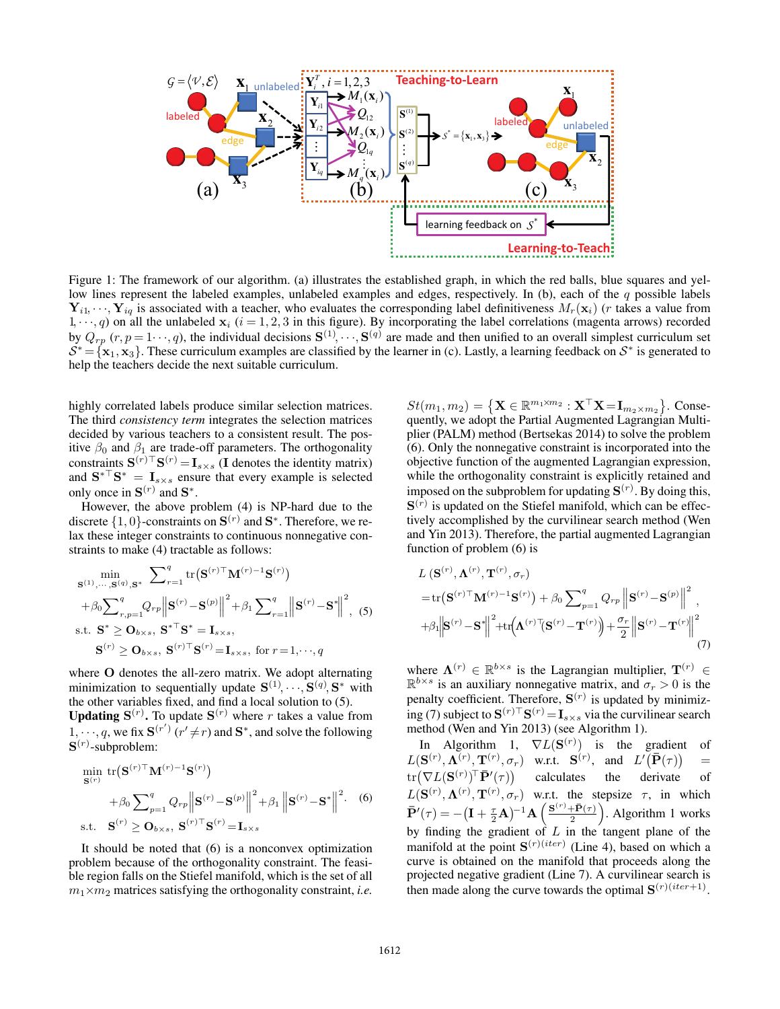

Figure 1: The framework of our algorithm. (a) illustrates the established graph, in which the red balls, blue squares and yellow lines represent the labeled examples, unlabeled examples and edges, respectively. In (b), each of the  $q$  possible labels  $Y_{i1}, \dots, Y_{iq}$  is associated with a teacher, who evaluates the corresponding label definitiveness  $M_r(\mathbf{x}_i)$  (*r* takes a value from  $1, \dots, q$ ) on all the unlabeled  $\mathbf{x}_i$  ( $i = 1, 2, 3$  in this figure). By incorporating the label correlations (magenta arrows) recorded by  $Q_{rp} (r, p = 1 \cdots, q)$ , the individual decisions  $\mathbf{S}^{(1)}, \cdots, \mathbf{S}^{(q)}$  are made and then unified to an overall simplest curriculum set  $S^* = \{x_1, x_3\}$ . These curriculum examples are classified by the learner in (c). Lastly, a learning feedback on  $S^*$  is generated to help the teachers decide the next suitable curriculum.

highly correlated labels produce similar selection matrices. The third *consistency term* integrates the selection matrices decided by various teachers to a consistent result. The positive  $\beta_0$  and  $\beta_1$  are trade-off parameters. The orthogonality constraints  $\mathbf{S}^{(r)\top}\mathbf{S}^{(r)} = \mathbf{I}_{s\times s}$  (**I** denotes the identity matrix) and  $S^*$ <sup>T</sup> $S^*$  =  $I_{s \times s}$  ensure that every example is selected only once in  $S^{(r)}$  and  $S^*$ .

However, the above problem (4) is NP-hard due to the discrete  $\{1, 0\}$ -constraints on  $S^{(r)}$  and  $S^*$ . Therefore, we relax these integer constraints to continuous nonnegative constraints to make (4) tractable as follows:

$$
\min_{\mathbf{S}^{(1)},\dots,\mathbf{S}^{(q)},\mathbf{S}^{*}} \sum_{r=1}^{q} \text{tr}(\mathbf{S}^{(r)\top}\mathbf{M}^{(r)-1}\mathbf{S}^{(r)}) + \beta_0 \sum_{r,p=1}^{q} Q_{rp} \left\| \mathbf{S}^{(r)} - \mathbf{S}^{(p)} \right\|^{2} + \beta_1 \sum_{r=1}^{q} \left\| \mathbf{S}^{(r)} - \mathbf{S}^{*} \right\|^{2}, (5)
$$
\n  
\n
$$
\text{s.t. } \mathbf{S}^{*} \geq \mathbf{O}_{b \times s}, \ \mathbf{S}^{* \top} \mathbf{S}^{*} = \mathbf{I}_{s \times s},
$$
\n
$$
\mathbf{S}^{(r)} \geq \mathbf{O}_{b \times s}, \ \mathbf{S}^{(r) \top} \mathbf{S}^{(r)} = \mathbf{I}_{s \times s}, \ \text{for } r = 1, \dots, q
$$

where **O** denotes the all-zero matrix. We adopt alternating minimization to sequentially update  $S^{(1)}, \dots, S^{(q)}, S^*$  with the other variables fixed, and find a local solution to (5).

**Updating**  $S^{(r)}$ **. To update**  $S^{(r)}$  **where r takes a value from** 1,  $\cdots$ , q, we fix  $\mathbf{S}^{(r')}$  ( $r' \neq r$ ) and  $\mathbf{S}^*$ , and solve the following **S**(r) -subproblem:

$$
\min_{\mathbf{S}^{(r)}} \text{tr}(\mathbf{S}^{(r)\top}\mathbf{M}^{(r)-1}\mathbf{S}^{(r)}) + \beta_0 \sum_{p=1}^q Q_{rp} \left\|\mathbf{S}^{(r)} - \mathbf{S}^{(p)}\right\|^2 + \beta_1 \left\|\mathbf{S}^{(r)} - \mathbf{S}^*\right\|^2.
$$
 (6)  
s.t. 
$$
\mathbf{S}^{(r)} \ge \mathbf{O}_{b \times s}, \ \mathbf{S}^{(r)\top}\mathbf{S}^{(r)} = \mathbf{I}_{s \times s}
$$

It should be noted that (6) is a nonconvex optimization problem because of the orthogonality constraint. The feasible region falls on the Stiefel manifold, which is the set of all  $m_1 \times m_2$  matrices satisfying the orthogonality constraint, *i.e.* 

 $St(m_1, m_2) = \{ \mathbf{X} \in \mathbb{R}^{m_1 \times m_2} : \mathbf{X}^\top \mathbf{X} = \mathbf{I}_{m_2 \times m_2} \}.$  Consequently, we adopt the Partial Augmented Lagrangian Multiplier (PALM) method (Bertsekas 2014) to solve the problem (6). Only the nonnegative constraint is incorporated into the objective function of the augmented Lagrangian expression, while the orthogonality constraint is explicitly retained and imposed on the subproblem for updating  $S^{(r)}$ . By doing this,  $\mathbf{S}^{(\bar{r})}$  is updated on the Stiefel manifold, which can be effectively accomplished by the curvilinear search method (Wen and Yin 2013). Therefore, the partial augmented Lagrangian function of problem (6) is

$$
L\left(\mathbf{S}^{(r)},\mathbf{\Lambda}^{(r)},\mathbf{T}^{(r)},\sigma_{r}\right)
$$
  
=tr $\left(\mathbf{S}^{(r)}\mathbf{\mathbf{\Lambda}}^{(r)}\mathbf{\mathbf{\Lambda}}^{(r)}\right)+\beta_{0}\sum_{p=1}^{q}Q_{rp}\left\|\mathbf{S}^{(r)}-\mathbf{S}^{(p)}\right\|^{2},$   
+ $\beta_{1}\left\|\mathbf{S}^{(r)}-\mathbf{S}^{*}\right\|^{2}+tr\left(\mathbf{\Lambda}^{(r)}\mathbf{\mathbf{\bar{S}}^{(r)}-\mathbf{\mathbf{\bar{T}}^{(r)}}}\right)+\frac{\sigma_{r}}{2}\left\|\mathbf{S}^{(r)}-\mathbf{\mathbf{\bar{T}}^{(r)}}\right\|^{2}$ 
$$
(7)
$$

where  $\mathbf{\Lambda}^{(r)} \in \mathbb{R}^{b \times s}$  is the Lagrangian multiplier,  $\mathbf{T}^{(r)} \in$  $\mathbb{R}^{b \times s}$  is an auxiliary nonnegative matrix, and  $\sigma_r > 0$  is the penalty coefficient. Therefore,  $S^{(r)}$  is updated by minimizing (7) subject to  $S^{(r)}^{\top}S^{(r)} = I_{s \times s}$  via the curvilinear search method (Wen and Yin 2013) (see Algorithm 1).

In Algorithm 1,  $\nabla L(\mathbf{S}^{(r)})$  is the gradient of  $L(\mathbf{S}^{(r)}, \Lambda^{(r)}, \mathbf{T}^{(r)}, \sigma_r)$  w.r.t.  $\mathbf{S}^{(r)}$ , and  $L'(\mathbf{P}(\tau))$  =  $\mathrm{tr}\big(\nabla L(\mathbf{S}^{(r)})^\top \bar{\mathbf{P}}'(\tau)$  calculates the derivate of  $L(\mathbf{S}^{(r)}, \mathbf{\Lambda}^{(r)}, \mathbf{T}^{(r)}, \sigma_r)$  w.r.t. the stepsize  $\tau$ , in which  $\bar{\mathbf{P}}'(\tau) = -\left(\mathbf{I} + \frac{\tau}{2}\mathbf{A}\right)^{-1}\mathbf{A}\left(\frac{\mathbf{S}^{(r)} + \bar{\mathbf{P}}(\tau)}{2}\right)$  $\left(\frac{1}{2} \overline{P}(\tau)\right)$ . Algorithm 1 works by finding the gradient of  $L$  in the tangent plane of the manifold at the point  $S^{(r)(iter)}$  (Line 4), based on which a curve is obtained on the manifold that proceeds along the projected negative gradient (Line 7). A curvilinear search is then made along the curve towards the optimal  $\mathbf{S}^{(r)(iter+1)}$ .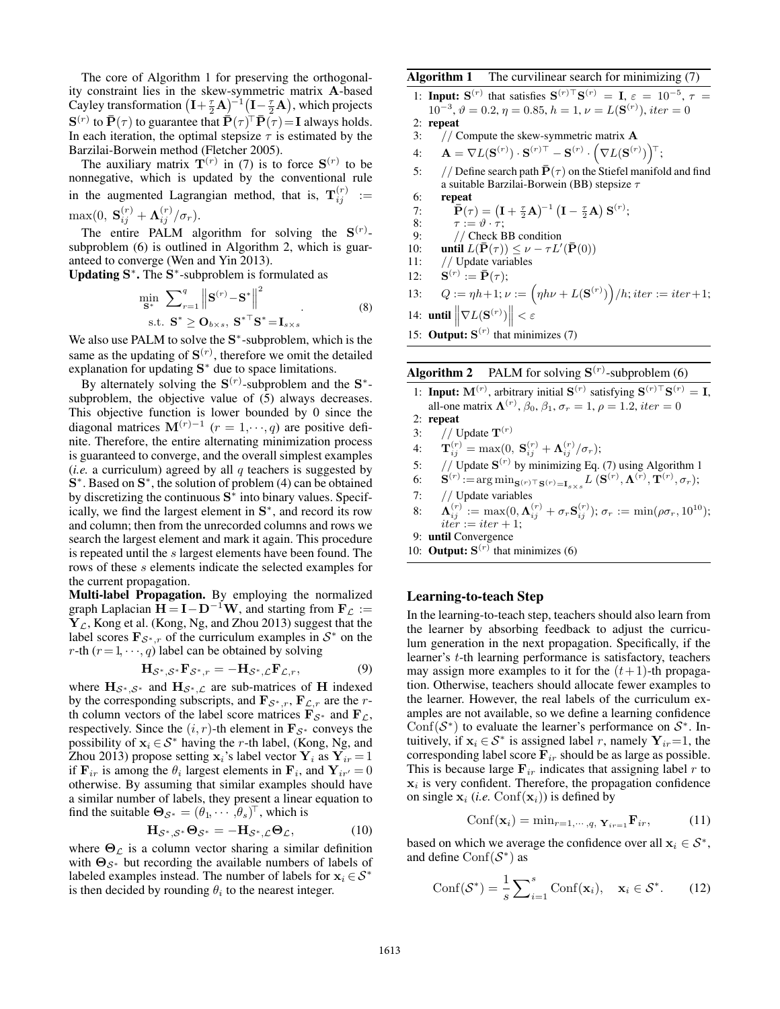The core of Algorithm 1 for preserving the orthogonality constraint lies in the skew-symmetric matrix **A**-based Cayley transformation  $\left( \mathbf{I} + \frac{\tau}{2} \mathbf{A} \right)^{-1} \left( \mathbf{I} - \frac{\tau}{2} \mathbf{A} \right)$ , which projects  $\mathbf{S}^{(r)}$  to  $\mathbf{\bar{P}}(\tau)$  to guarantee that  $\mathbf{\bar{P}}(\tau)^\top \mathbf{\bar{P}}(\tau) = \mathbf{I}$  always holds. In each iteration, the optimal stepsize  $\tau$  is estimated by the Barzilai-Borwein method (Fletcher 2005).

The auxiliary matrix  $\mathbf{T}^{(r)}$  in (7) is to force  $\mathbf{S}^{(r)}$  to be nonnegative, which is updated by the conventional rule in the augmented Lagrangian method, that is,  $\mathbf{T}_{ij}^{(r)}$  :=  $\max(0, \mathbf{S}_{ii}^{(r)} + \mathbf{\Lambda}_{ii}^{(r)}/\sigma_r).$ 

The entire PALM algorithm for solving the  $S^{(r)}$ subproblem (6) is outlined in Algorithm 2, which is guaranteed to converge (Wen and Yin 2013).

Updating **S**∗. The **S**∗-subproblem is formulated as

$$
\min_{\mathbf{S}^*} \sum_{r=1}^q \left\| \mathbf{S}^{(r)} - \mathbf{S}^* \right\|^2
$$
\n
$$
\text{s.t. } \mathbf{S}^* \ge \mathbf{O}_{b \times s}, \ \mathbf{S}^{* \top} \mathbf{S}^* = \mathbf{I}_{s \times s} \tag{8}
$$

 $s.t.$  **S**<sup>∗</sup> ≥ **O**<sub>b×s</sub>, **S**<sup>∗</sup>  $\cdot$ **S**<sup>\*</sup> =**I**<sub>s×s</sub><br>We also use PALM to solve the **S**<sup>∗</sup>-subproblem, which is the same as the updating of  $S^{(r)}$ , therefore we omit the detailed explanation for updating **S**<sup>∗</sup> due to space limitations.

By alternately solving the  $S^{(r)}$ -subproblem and the  $S^*$ subproblem, the objective value of  $(5)$  always decreases. This objective function is lower bounded by 0 since the diagonal matrices  $M^{(r)-1}$  ( $r = 1, \dots, q$ ) are positive definite. Therefore, the entire alternating minimization process is guaranteed to converge, and the overall simplest examples (*i.e.* a curriculum) agreed by all  $q$  teachers is suggested by **S**∗. Based on **S**∗, the solution of problem (4) can be obtained by discretizing the continuous **S**<sup>∗</sup> into binary values. Specifically, we find the largest element in **S**∗, and record its row and column; then from the unrecorded columns and rows we search the largest element and mark it again. This procedure is repeated until the s largest elements have been found. The rows of these s elements indicate the selected examples for the current propagation.

Multi-label Propagation. By employing the normalized graph Laplacian  $H = I - D^{-1}W$ , and starting from  $F_L :=$  $Y_L$ , Kong et al. (Kong, Ng, and Zhou 2013) suggest that the label scores  $\mathbf{F}_{\mathcal{S}^*,r}$  of the curriculum examples in  $\mathcal{S}^*$  on the r-th  $(r = 1, \dots, q)$  label can be obtained by solving

$$
\mathbf{H}_{\mathcal{S}^*,\mathcal{S}^*}\mathbf{F}_{\mathcal{S}^*,r} = -\mathbf{H}_{\mathcal{S}^*,\mathcal{L}}\mathbf{F}_{\mathcal{L},r},\tag{9}
$$

where  $H_{\mathcal{S}^*,\mathcal{S}^*}$  and  $H_{\mathcal{S}^*,\mathcal{L}}$  are sub-matrices of **H** indexed by the corresponding subscripts, and  $\mathbf{F}_{\mathcal{S}^*,r}$ ,  $\mathbf{F}_{\mathcal{L},r}$  are the *r*th column vectors of the label score matrices  $\mathbf{F}_{\mathcal{S}^*}$  and  $\mathbf{F}_{\mathcal{L}}$ , respectively. Since the  $(i, r)$ -th element in  $\mathbf{F}_{\mathcal{S}^*}$  conveys the possibility of  $x_i \in S^*$  having the r-th label, (Kong, Ng, and Zhou 2013) propose setting  $\mathbf{x}_i$ 's label vector  $\mathbf{Y}_i$  as  $\mathbf{Y}_{ir} = 1$ if  $\mathbf{F}_{ir}$  is among the  $\theta_i$  largest elements in  $\mathbf{F}_i$ , and  $\mathbf{Y}_{ir'} = 0$ otherwise. By assuming that similar examples should have a similar number of labels, they present a linear equation to find the suitable  $\Theta_{\mathcal{S}^*} = (\theta_1, \cdots, \theta_s)^\top$ , which is

$$
\mathbf{H}_{\mathcal{S}^*,\mathcal{S}^*}\mathbf{\Theta}_{\mathcal{S}^*} = -\mathbf{H}_{\mathcal{S}^*,\mathcal{L}}\mathbf{\Theta}_{\mathcal{L}},\tag{10}
$$

where  $\Theta_{\mathcal{L}}$  is a column vector sharing a similar definition with  $\Theta_{\mathcal{S}^*}$  but recording the available numbers of labels of labeled examples instead. The number of labels for  $x_i \in S^*$ is then decided by rounding  $\theta_i$  to the nearest integer.

# Algorithm 1 The curvilinear search for minimizing (7)

1: **Input:**  $S^{(r)}$  that satisfies  $S^{(r) \top} S^{(r)} = I$ ,  $\varepsilon = 10^{-5}$ ,  $\tau = 10^{-3}$ ,  $\theta = 0.2$ ,  $n = 0.85$ ,  $h = 1$ ,  $y = I(S^{(r)})$ , item  $= 0$  $10^{-3}$ , θ = 0.2, η = 0.85, h = 1, ν = L(**S**<sup>(r)</sup>), iter = 0

- 2: repeat<br>3:  $\frac{1}{2}$
- 3: // Compute the skew-symmetric matrix **A**
- 4: **A** =  $\nabla L(\mathbf{S}^{(r)}) \cdot \mathbf{S}^{(r)\top} \mathbf{S}^{(r)} \cdot \left( \nabla L(\mathbf{S}^{(r)}) \right)^\top;$
- 5: // Define search path  $\bar{P}(\tau)$  on the Stiefel manifold and find<br>a suitable Barzilai-Borwein (BB) stensize  $\tau$ a suitable Barzilai-Borwein (BB) stepsize  $\tau$
- 6: repeat<br>7:  $\bar{\mathbf{D}}/\tau$

7: 
$$
\overline{\mathbf{P}}(\tau) = (\mathbf{I} + \frac{\tau}{2}\mathbf{A})^{-1} (\mathbf{I} - \frac{\tau}{2}\mathbf{A}) \mathbf{S}^{(r)};
$$
8: 
$$
\tau := \vartheta \cdot \tau;
$$

8:  $\tau := \vartheta \cdot \tau;$ <br>9: // Check BB condition

10: until 
$$
L(\bar{\mathbf{P}}(\tau)) \leq \nu - \tau L'(\bar{\mathbf{P}}(0))
$$

10: **until**  $L(\mathbf{P}(\tau)) \leq \nu - 11$ : // Update variables // Update variables

12: 
$$
\mathbf{S}^{(r)} := \mathbf{\bar{P}}(\tau);
$$

- 13:  $Q := \eta h + 1; \nu := \left(\eta h \nu + L(\mathbf{S}^{(r)})\right)$  $\Big)/h; iter := iter + 1;$
- 14: **until**  $\nabla L(\mathbf{S}^{(r)})$  $\parallel$  <  $\varepsilon$
- 15: **Output:**  $S^{(r)}$  that minimizes (7)

# **Algorithm 2** PALM for solving  $S^{(r)}$ -subproblem (6)

- 1: **Input:**  $\mathbf{M}^{(r)}$ , arbitrary initial  $\mathbf{S}^{(r)}$  satisfying  $\mathbf{S}^{(r)\top}\mathbf{S}^{(r)} = \mathbf{I}$ , all one matrix  $\mathbf{\Lambda}^{(r)}$ ,  $\beta_2$ ,  $\beta_3$ ,  $\pi = 1$ ,  $\alpha = 1, 2$ , item  $= 0$ . all-one matrix  $\mathbf{\Lambda}^{(r)}$ ,  $\beta_0$ ,  $\beta_1$ ,  $\sigma_r = 1$ ,  $\rho = 1.2$ , *iter* = 0<br>reneat
- 2: repeat
- 3: // Update  $\mathbf{T}^{(r)}$
- 
- 4:  $\mathbf{T}_{ij}^{(r)} = \max(0, \mathbf{S}_{ij}^{(r)} + \mathbf{\Lambda}_{ij}^{(r)}/\sigma_r);$ <br>5: // Update  $\mathbf{S}^{(r)}$  by minimizing Eq. (7) using Algorithm 1
- 6:  $\mathbf{S}^{(r)} := \arg \min_{\mathbf{S}^{(r)} \sqcup \mathbf{S}^{(r)} = \mathbf{I}_{s \times s}} L\left(\mathbf{S}^{(r)}, \mathbf{\Lambda}^{(r)}, \mathbf{T}^{(r)}, \sigma_r\right);$
- 7: // Update variables
- $8: \quad \mathbf{\Lambda}_{ij}^{(r)} := \max(0, \mathbf{\Lambda}_{ij}^{(r)} + \sigma_r \mathbf{S}_{ij}^{(r)}); \sigma_r := \min(\rho \sigma_r, 10^{10});$ <br>iter := iter + 1.  $iter := iter + 1;$ <br>fil Convergence

9: until Convergence

10: **Output:**  $S^{(r)}$  that minimizes (6)

## Learning-to-teach Step

In the learning-to-teach step, teachers should also learn from the learner by absorbing feedback to adjust the curriculum generation in the next propagation. Specifically, if the learner's t-th learning performance is satisfactory, teachers may assign more examples to it for the  $(t+1)$ -th propagation. Otherwise, teachers should allocate fewer examples to the learner. However, the real labels of the curriculum examples are not available, so we define a learning confidence Conf( $S^*$ ) to evaluate the learner's performance on  $S^*$ . Intuitively, if  $x_i \in S^*$  is assigned label r, namely  $Y_{ir}=1$ , the corresponding label score  $\mathbf{F}_{ir}$  should be as large as possible. This is because large  $\mathbf{F}_{ir}$  indicates that assigning label r to  $x_i$  is very confident. Therefore, the propagation confidence on single  $\mathbf{x}_i$  (*i.e.* Conf( $\mathbf{x}_i$ )) is defined by

$$
Conf(\mathbf{x}_i) = \min_{r=1,\cdots,q} \mathbf{Y}_{ir=1} \mathbf{F}_{ir},
$$
 (11)

based on which we average the confidence over all  $x_i \in S^*$ , and define  $Conf(S^*)$  as

$$
Conf(\mathcal{S}^*) = \frac{1}{s} \sum_{i=1}^s Conf(\mathbf{x}_i), \quad \mathbf{x}_i \in \mathcal{S}^*.
$$
 (12)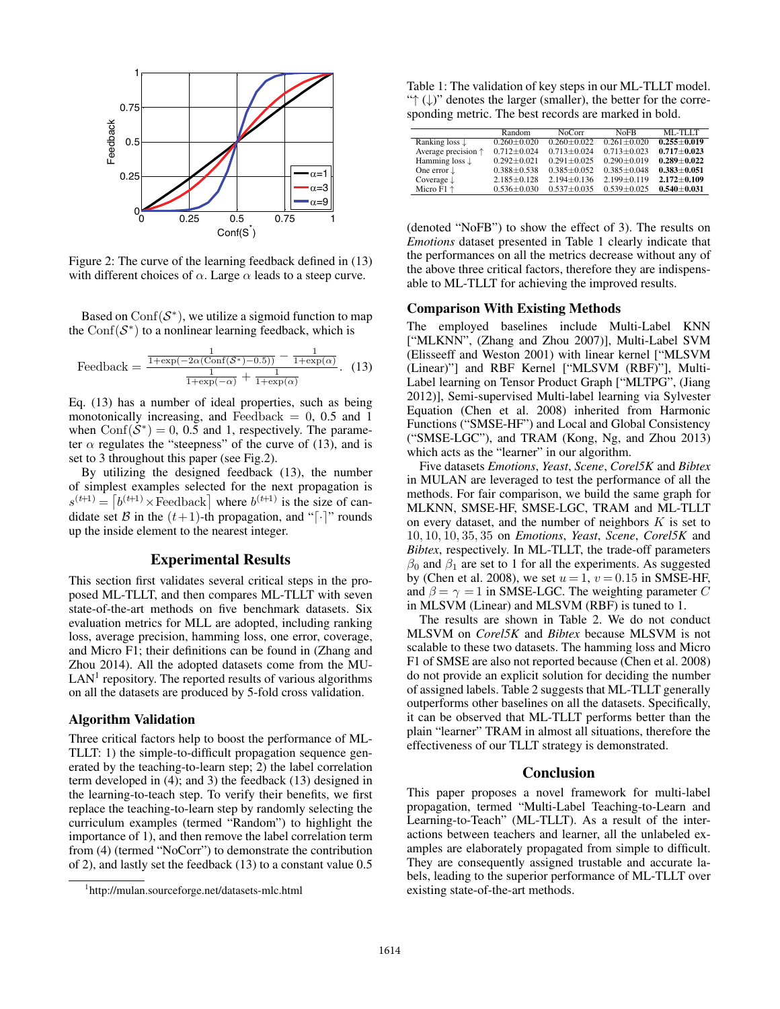

Figure 2: The curve of the learning feedback defined in (13) with different choices of  $\alpha$ . Large  $\alpha$  leads to a steep curve.

Based on  $Conf(S^*)$ , we utilize a sigmoid function to map the Conf $(S^*)$  to a nonlinear learning feedback, which is

$$
\text{Feedback} = \frac{\frac{1}{1 + \exp(-2\alpha(\text{Conf}(\mathcal{S}^*) - 0.5))} - \frac{1}{1 + \exp(\alpha)}}{\frac{1}{1 + \exp(-\alpha)} + \frac{1}{1 + \exp(\alpha)}}.
$$
 (13)

Eq. (13) has a number of ideal properties, such as being monotonically increasing, and Feedback  $= 0$ , 0.5 and 1 when  $Conf(S^*)=0, 0.5$  and 1, respectively. The parameter  $\alpha$  regulates the "steepness" of the curve of (13), and is set to 3 throughout this paper (see Fig.2).

By utilizing the designed feedback (13), the number of simplest examples selected for the next propagation is  $s^{(t+1)} = \left[ b^{(t+1)} \times \text{feedback} \right]$  where  $b^{(t+1)}$  is the size of candidate set B in the  $(t+1)$ -th propagation, and "[ $\cdot$ ]" rounds up the inside element to the nearest integer.

# Experimental Results

This section first validates several critical steps in the proposed ML-TLLT, and then compares ML-TLLT with seven state-of-the-art methods on five benchmark datasets. Six evaluation metrics for MLL are adopted, including ranking loss, average precision, hamming loss, one error, coverage, and Micro F1; their definitions can be found in (Zhang and Zhou 2014). All the adopted datasets come from the MU- $LAN<sup>1</sup>$  repository. The reported results of various algorithms on all the datasets are produced by 5-fold cross validation.

## Algorithm Validation

Three critical factors help to boost the performance of ML-TLLT: 1) the simple-to-difficult propagation sequence generated by the teaching-to-learn step; 2) the label correlation term developed in (4); and 3) the feedback (13) designed in the learning-to-teach step. To verify their benefits, we first replace the teaching-to-learn step by randomly selecting the curriculum examples (termed "Random") to highlight the importance of 1), and then remove the label correlation term from (4) (termed "NoCorr") to demonstrate the contribution of 2), and lastly set the feedback (13) to a constant value 0.5

Table 1: The validation of key steps in our ML-TLLT model. "↑ (↓)" denotes the larger (smaller), the better for the corresponding metric. The best records are marked in bold.

|                              | Random            | <b>NoCorr</b>     | <b>NoFB</b>       | ML-TLLT         |
|------------------------------|-------------------|-------------------|-------------------|-----------------|
| Ranking loss $\downarrow$    | $0.260 \pm 0.020$ | $0.260 + 0.022$   | $0.261 + 0.020$   | $0.255 + 0.019$ |
| Average precision $\uparrow$ | $0.712 \pm 0.024$ | $0.713 + 0.024$   | $0.713 + 0.023$   | $0.717 + 0.023$ |
| Hamming loss $\downarrow$    | $0.292 + 0.021$   | $0.291 \pm 0.025$ | $0.290 \pm 0.019$ | $0.289 + 0.022$ |
| One error $\downarrow$       | $0.388 \pm 0.538$ | $0.385 + 0.052$   | $0.385 + 0.048$   | $0.383 + 0.051$ |
| Coverage $\downarrow$        | $2.185 \pm 0.128$ | $2.194 \pm 0.136$ | $2.199 \pm 0.119$ | $2.172 + 0.109$ |
| Micro $F1 \uparrow$          | $0.536 \pm 0.030$ | $0.537 + 0.035$   | $0.539 + 0.025$   | $0.540 + 0.031$ |

(denoted "NoFB") to show the effect of 3). The results on *Emotions* dataset presented in Table 1 clearly indicate that the performances on all the metrics decrease without any of the above three critical factors, therefore they are indispensable to ML-TLLT for achieving the improved results.

#### Comparison With Existing Methods

The employed baselines include Multi-Label KNN ["MLKNN", (Zhang and Zhou 2007)], Multi-Label SVM (Elisseeff and Weston 2001) with linear kernel ["MLSVM (Linear)"] and RBF Kernel ["MLSVM (RBF)"], Multi-Label learning on Tensor Product Graph ["MLTPG", (Jiang 2012)], Semi-supervised Multi-label learning via Sylvester Equation (Chen et al. 2008) inherited from Harmonic Functions ("SMSE-HF") and Local and Global Consistency ("SMSE-LGC"), and TRAM (Kong, Ng, and Zhou 2013) which acts as the "learner" in our algorithm.

Five datasets *Emotions*, *Yeast*, *Scene*, *Corel5K* and *Bibtex* in MULAN are leveraged to test the performance of all the methods. For fair comparison, we build the same graph for MLKNN, SMSE-HF, SMSE-LGC, TRAM and ML-TLLT on every dataset, and the number of neighbors  $K$  is set to 10, 10, 10, 35, 35 on *Emotions*, *Yeast*, *Scene*, *Corel5K* and *Bibtex*, respectively. In ML-TLLT, the trade-off parameters  $\beta_0$  and  $\beta_1$  are set to 1 for all the experiments. As suggested by (Chen et al. 2008), we set  $u = 1$ ,  $v = 0.15$  in SMSE-HF, and  $\beta = \gamma = 1$  in SMSE-LGC. The weighting parameter C in MLSVM (Linear) and MLSVM (RBF) is tuned to 1.

The results are shown in Table 2. We do not conduct MLSVM on *Corel5K* and *Bibtex* because MLSVM is not scalable to these two datasets. The hamming loss and Micro F1 of SMSE are also not reported because (Chen et al. 2008) do not provide an explicit solution for deciding the number of assigned labels. Table 2 suggests that ML-TLLT generally outperforms other baselines on all the datasets. Specifically, it can be observed that ML-TLLT performs better than the plain "learner" TRAM in almost all situations, therefore the effectiveness of our TLLT strategy is demonstrated.

#### Conclusion

This paper proposes a novel framework for multi-label propagation, termed "Multi-Label Teaching-to-Learn and Learning-to-Teach" (ML-TLLT). As a result of the interactions between teachers and learner, all the unlabeled examples are elaborately propagated from simple to difficult. They are consequently assigned trustable and accurate labels, leading to the superior performance of ML-TLLT over existing state-of-the-art methods.

<sup>1</sup> http://mulan.sourceforge.net/datasets-mlc.html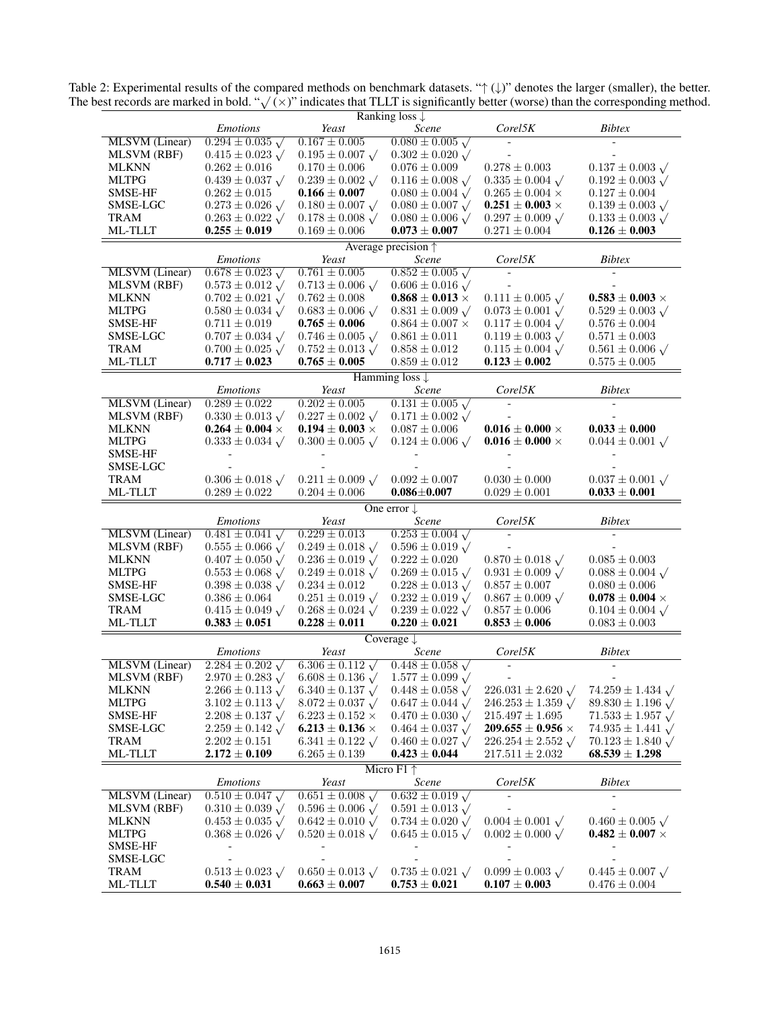| Ranking loss $\downarrow$    |                                                 |                                                 |                                                 |                                                 |                                                 |  |  |  |
|------------------------------|-------------------------------------------------|-------------------------------------------------|-------------------------------------------------|-------------------------------------------------|-------------------------------------------------|--|--|--|
|                              | <b>Emotions</b>                                 | Yeast                                           | Scene                                           | $Core$ <sup>15<math>K</math></sup>              | <b>Bibtex</b>                                   |  |  |  |
| MLSVM (Linear)               | $0.294 \pm 0.035 \sqrt{ }$                      | $0.167 \pm 0.005$                               | $0.080 \pm 0.005 \sqrt{ }$                      |                                                 |                                                 |  |  |  |
| <b>MLSVM</b> (RBF)           | $0.415 \pm 0.023 \sqrt{ }$                      | $0.195 \pm 0.007$ $\sqrt{ }$                    | $0.302 \pm 0.020 \sqrt{ }$                      |                                                 |                                                 |  |  |  |
| <b>MLKNN</b>                 | $0.262 \pm 0.016$                               | $0.170 \pm 0.006$                               | $0.076 \pm 0.009$                               | $0.278 \pm 0.003$                               | $0.137 \pm 0.003 \sqrt{ }$                      |  |  |  |
| <b>MLTPG</b>                 | $0.439 \pm 0.037 \sqrt{ }$                      | $0.239 \pm 0.002 \sqrt{ }$                      | $0.116 \pm 0.008 \sqrt{ }$                      | $0.335 \pm 0.004 \sqrt{ }$                      | $0.192 \pm 0.003 \sqrt{ }$                      |  |  |  |
| SMSE-HF                      | $0.262 \pm 0.015$                               | $0.166 \pm 0.007$                               | $0.080 \pm 0.004 \sqrt{ }$                      | $0.265 \pm 0.004 \times$                        | $0.127 \pm 0.004$                               |  |  |  |
|                              |                                                 |                                                 |                                                 |                                                 |                                                 |  |  |  |
| SMSE-LGC                     | $0.273 \pm 0.026 \sqrt{ }$                      | $0.180 \pm 0.007 \sqrt{ }$                      | $0.080 \pm 0.007 \sqrt{ }$                      | $0.251 \pm 0.003 \times$                        | $0.139 \pm 0.003 \sqrt{ }$                      |  |  |  |
| <b>TRAM</b>                  | $0.263 \pm 0.022 \sqrt{ }$                      | $0.178 \pm 0.008 \sqrt{ }$                      | $0.080 \pm 0.006 \sqrt{ }$                      | $0.297 \pm 0.009 \sqrt{ }$                      | $0.133 \pm 0.003 \sqrt{ }$                      |  |  |  |
| <b>ML-TLLT</b>               | $0.255 \pm 0.019$                               | $0.169 \pm 0.006$                               | $0.073 \pm 0.007$                               | $0.271 \pm 0.004$                               | $0.126 \pm 0.003$                               |  |  |  |
| Average precision $\uparrow$ |                                                 |                                                 |                                                 |                                                 |                                                 |  |  |  |
|                              | <i>Emotions</i>                                 | Yeast                                           | Scene                                           | $Core$ <sup>15<math>K</math></sup>              | <b>Bibtex</b>                                   |  |  |  |
| MLSVM (Linear)               | $0.678 \pm 0.023 \sqrt{ }$                      | $0.761 \pm 0.005$                               | $0.852 \pm 0.005 \sqrt{ }$                      |                                                 |                                                 |  |  |  |
| <b>MLSVM</b> (RBF)           | $0.573 \pm 0.012 \sqrt{ }$                      | $0.713 \pm 0.006 \sqrt{ }$                      | $0.606 \pm 0.016 \sqrt{ }$                      |                                                 |                                                 |  |  |  |
| <b>MLKNN</b>                 | $0.702 \pm 0.021$ $\sqrt{ }$                    | $0.762 \pm 0.008$                               | $0.868 \pm 0.013 \times$                        | $0.111 \pm 0.005 \sqrt{ }$                      | $0.583 \pm 0.003 \times$                        |  |  |  |
| MLTPG                        | $0.580 \pm 0.034 \sqrt{ }$                      | $0.683 \pm 0.006 \sqrt{ }$                      | $0.831 \pm 0.009 \sqrt{ }$                      | $0.073 \pm 0.001 \sqrt{ }$                      | $0.529 \pm 0.003 \sqrt{ }$                      |  |  |  |
| SMSE-HF                      | $0.711 \pm 0.019$                               | $0.765 \pm 0.006$                               |                                                 | $0.117 \pm 0.004 \sqrt{ }$                      | $0.576 \pm 0.004$                               |  |  |  |
|                              |                                                 |                                                 | $0.864 \pm 0.007 \times$                        |                                                 |                                                 |  |  |  |
| SMSE-LGC                     | $0.707 \pm 0.034 \sqrt{ }$                      | $0.746 \pm 0.005 \sqrt{ }$                      | $0.861 \pm 0.011$                               | $0.119 \pm 0.003 \sqrt{ }$                      | $0.571 \pm 0.003$                               |  |  |  |
| TRAM                         | $0.700 \pm 0.025 \sqrt{ }$                      | $0.752 \pm 0.013 \sqrt{ }$                      | $0.858 \pm 0.012$                               | $0.115 \pm 0.004 \sqrt{ }$                      | $0.561 \pm 0.006 \sqrt{ }$                      |  |  |  |
| <b>ML-TLLT</b>               | $0.717 \pm 0.023$                               | $0.765 \pm 0.005$                               | $0.859 \pm 0.012$                               | $0.123 \pm 0.002$                               | $0.575 \pm 0.005$                               |  |  |  |
|                              |                                                 |                                                 | Hamming loss $\downarrow$                       |                                                 |                                                 |  |  |  |
|                              | <i>Emotions</i>                                 | Yeast                                           | Scene                                           | $Core$ <sup>15<math>K</math></sup>              | <b>Bibtex</b>                                   |  |  |  |
| MLSVM (Linear)               | $0.289 \pm 0.022$                               | $0.202 \pm 0.005$                               | $0.131 \pm 0.005 \sqrt{ }$                      |                                                 |                                                 |  |  |  |
| <b>MLSVM (RBF)</b>           | $0.330 \pm 0.013$ $\sqrt{ }$                    | $0.227 \pm 0.002 \sqrt{ }$                      | $0.171 \pm 0.002 \sqrt{ }$                      |                                                 |                                                 |  |  |  |
| <b>MLKNN</b>                 | $0.264 \pm 0.004 \times$                        | $0.194 \pm 0.003 \times$                        | $0.087 \pm 0.006$                               | $0.016 \pm 0.000 \times$                        | $0.033 \pm 0.000$                               |  |  |  |
|                              |                                                 |                                                 |                                                 |                                                 |                                                 |  |  |  |
| <b>MLTPG</b>                 | $0.333 \pm 0.034 \sqrt{ }$                      | $0.300 \pm 0.005 \sqrt{ }$                      | $0.124 \pm 0.006 \sqrt{ }$                      | $0.016 \pm 0.000 \times$                        | $0.044 \pm 0.001 \sqrt{ }$                      |  |  |  |
| SMSE-HF                      |                                                 |                                                 |                                                 |                                                 |                                                 |  |  |  |
| SMSE-LGC                     |                                                 |                                                 |                                                 |                                                 |                                                 |  |  |  |
| TRAM                         | $0.306 \pm 0.018 \sqrt{ }$                      | $0.211 \pm 0.009 \sqrt{ }$                      | $0.092 \pm 0.007$                               | $0.030 \pm 0.000$                               | $0.037 \pm 0.001 \sqrt{ }$                      |  |  |  |
| <b>ML-TLLT</b>               | $0.289 \pm 0.022$                               | $0.204 \pm 0.006$                               | $0.086 \pm 0.007$                               | $0.029 \pm 0.001$                               | $0.033 \pm 0.001$                               |  |  |  |
|                              |                                                 |                                                 |                                                 |                                                 |                                                 |  |  |  |
|                              |                                                 |                                                 |                                                 |                                                 |                                                 |  |  |  |
|                              |                                                 |                                                 | One error $\downarrow$                          |                                                 |                                                 |  |  |  |
|                              | <b>Emotions</b>                                 | Yeast                                           | Scene                                           | $Core$ <sup>15<math>K</math></sup>              | <b>Bibtex</b>                                   |  |  |  |
| MLSVM (Linear)               | $0.481 \pm 0.041$ $\sqrt{ }$                    | $0.229 \pm 0.013$                               | $0.253 \pm 0.004 \sqrt{ }$                      |                                                 |                                                 |  |  |  |
| MLSVM (RBF)                  | $0.555 \pm 0.066 \sqrt{ }$                      | $0.249 \pm 0.018 \sqrt{ }$                      | $0.596 \pm 0.019 \sqrt{ }$                      |                                                 |                                                 |  |  |  |
| <b>MLKNN</b>                 | $0.407 \pm 0.050 \sqrt{ }$                      | $0.236 \pm 0.019 \sqrt{ }$                      | $0.222 \pm 0.020$                               | $0.870 \pm 0.018 \sqrt{ }$                      | $0.085 \pm 0.003$                               |  |  |  |
| <b>MLTPG</b>                 | $0.553 \pm 0.068 \sqrt{ }$                      | $0.249 \pm 0.018 \sqrt{ }$                      | $0.269 \pm 0.015 \sqrt{ }$                      | $0.931 \pm 0.009 \sqrt{ }$                      | $0.088 \pm 0.004 \sqrt{ }$                      |  |  |  |
| SMSE-HF                      | $0.398 \pm 0.038 \sqrt{ }$                      | $0.234 \pm 0.012$                               | $0.228 \pm 0.013 \sqrt{ }$                      | $0.857 \pm 0.007$                               | $0.080 \pm 0.006$                               |  |  |  |
| SMSE-LGC                     | $0.386 \pm 0.064$                               | $0.251 \pm 0.019 \sqrt{ }$                      | $0.232 \pm 0.019$ $\sqrt{ }$                    | $0.867 \pm 0.009 \sqrt{ }$                      | $0.078 \pm 0.004 \times$                        |  |  |  |
| TRAM                         | $0.415 \pm 0.049 \sqrt{ }$                      | $0.268 \pm 0.024 \sqrt{ }$                      | $0.239 \pm 0.022 \sqrt{ }$                      | $0.857 \pm 0.006$                               | $0.104 \pm 0.004 \sqrt{ }$                      |  |  |  |
| <b>ML-TLLT</b>               | $0.383 \pm 0.051$                               | $0.228 \pm 0.011$                               | $0.220 \pm 0.021$                               | $0.853 \pm 0.006$                               | $0.083 \pm 0.003$                               |  |  |  |
|                              |                                                 |                                                 | Coverage $\downarrow$                           |                                                 |                                                 |  |  |  |
|                              | <i>Emotions</i>                                 | Yeast                                           | Scene                                           | $Core$ ISK                                      | <b>Bibtex</b>                                   |  |  |  |
| MLSVM (Linear)               |                                                 |                                                 |                                                 |                                                 |                                                 |  |  |  |
|                              | $2.284 \pm 0.202 \sqrt{ }$                      | $6.306 \pm 0.112 \sqrt{ }$                      | $0.448 \pm 0.058 \sqrt{ }$                      |                                                 |                                                 |  |  |  |
| MLSVM (RBF)                  | $2.970 \pm 0.283 \sqrt{ }$                      | $6.608 \pm 0.136$ $\sqrt{ }$                    | $1.577 \pm 0.099 \sqrt{ }$                      |                                                 |                                                 |  |  |  |
| <b>MLKNN</b>                 | $2.266 \pm 0.113 \sqrt{ }$                      | $6.340 \pm 0.137$ $\sqrt{ }$                    | $0.448 \pm 0.058 \sqrt{ }$                      | $226.031 \pm 2.620 \sqrt{ }$                    | $74.259 \pm 1.434 \sqrt{ }$                     |  |  |  |
| <b>MLTPG</b>                 | $3.102 \pm 0.113$ $\sqrt{ }$                    | $8.072 \pm 0.037 \sqrt{ }$                      | $0.647 \pm 0.044 \sqrt{ }$                      | $246.253 \pm 1.359 \sqrt{ }$                    | $89.830 \pm 1.196 \sqrt{ }$                     |  |  |  |
| SMSE-HF                      | $2.208 \pm 0.137 \sqrt{ }$                      | $6.223 \pm 0.152 \times$                        | $0.470 \pm 0.030 \sqrt{ }$                      | $215.497 \pm 1.695$                             | $71.533 \pm 1.957 \sqrt{ }$                     |  |  |  |
| SMSE-LGC                     | $2.259 \pm 0.142 \sqrt{ }$                      | $6.213 \pm 0.136 \times$                        | $0.464 \pm 0.037 \sqrt{ }$                      | 209.655 $\pm$ 0.956 $\times$                    | 74.935 $\pm$ 1.441 $\sqrt{ }$                   |  |  |  |
| TRAM                         | $2.202 \pm 0.151$                               | $6.341 \pm 0.122 \sqrt{ }$                      | $0.460 \pm 0.027 \sqrt{ }$                      | $226.254 \pm 2.552 \sqrt{ }$                    | $70.123 \pm 1.840 \sqrt{ }$                     |  |  |  |
| ML-TLLT                      | $2.172 \pm 0.109$                               | $6.265 \pm 0.139$                               | $0.423 \pm 0.044$                               | $217.511 \pm 2.032$                             | $68.539 \pm 1.298$                              |  |  |  |
|                              |                                                 |                                                 | Micro $F1 \uparrow$                             |                                                 |                                                 |  |  |  |
|                              | <b>Emotions</b>                                 | Yeast                                           | Scene                                           | Corel5K                                         | <b>Bibtex</b>                                   |  |  |  |
|                              |                                                 | $0.651 \pm 0.008 \sqrt{ }$                      |                                                 |                                                 |                                                 |  |  |  |
| MLSVM (Linear)               | $0.510 \pm 0.047$ $\sqrt{ }$                    |                                                 | $0.632 \pm 0.019 \sqrt{ }$                      |                                                 |                                                 |  |  |  |
| <b>MLSVM</b> (RBF)           | $0.310 \pm 0.039$ $\sqrt{ }$                    | $0.596 \pm 0.006 \sqrt{ }$                      | $0.591 \pm 0.013$ $\sqrt{ }$                    |                                                 |                                                 |  |  |  |
| <b>MLKNN</b>                 | $0.453 \pm 0.035 \sqrt{ }$                      | $0.642 \pm 0.010 \sqrt{ }$                      | $0.734 \pm 0.020 \sqrt{ }$                      | $0.004 \pm 0.001 \sqrt{ }$                      | $0.460 \pm 0.005 \sqrt{ }$                      |  |  |  |
| <b>MLTPG</b>                 | $0.368 \pm 0.026 \sqrt{ }$                      | $0.520 \pm 0.018 \sqrt{ }$                      | $0.645 \pm 0.015 \sqrt{ }$                      | $0.002 \pm 0.000 \sqrt{ }$                      | $0.482 \pm 0.007 \times$                        |  |  |  |
| SMSE-HF                      |                                                 |                                                 |                                                 |                                                 |                                                 |  |  |  |
| SMSE-LGC                     |                                                 |                                                 |                                                 |                                                 |                                                 |  |  |  |
| TRAM<br>ML-TLLT              | $0.513 \pm 0.023 \sqrt{ }$<br>$0.540 \pm 0.031$ | $0.650 \pm 0.013 \sqrt{ }$<br>$0.663 \pm 0.007$ | $0.735 \pm 0.021 \sqrt{ }$<br>$0.753 \pm 0.021$ | $0.099 \pm 0.003 \sqrt{ }$<br>$0.107 \pm 0.003$ | $0.445 \pm 0.007 \sqrt{ }$<br>$0.476 \pm 0.004$ |  |  |  |

Table 2: Experimental results of the compared methods on benchmark datasets. " $\uparrow (\downarrow)$ " denotes the larger (smaller), the better.<br>The best records are marked in bold. " $\sqrt{(x)}$ " indicates that TLLT is significantly better